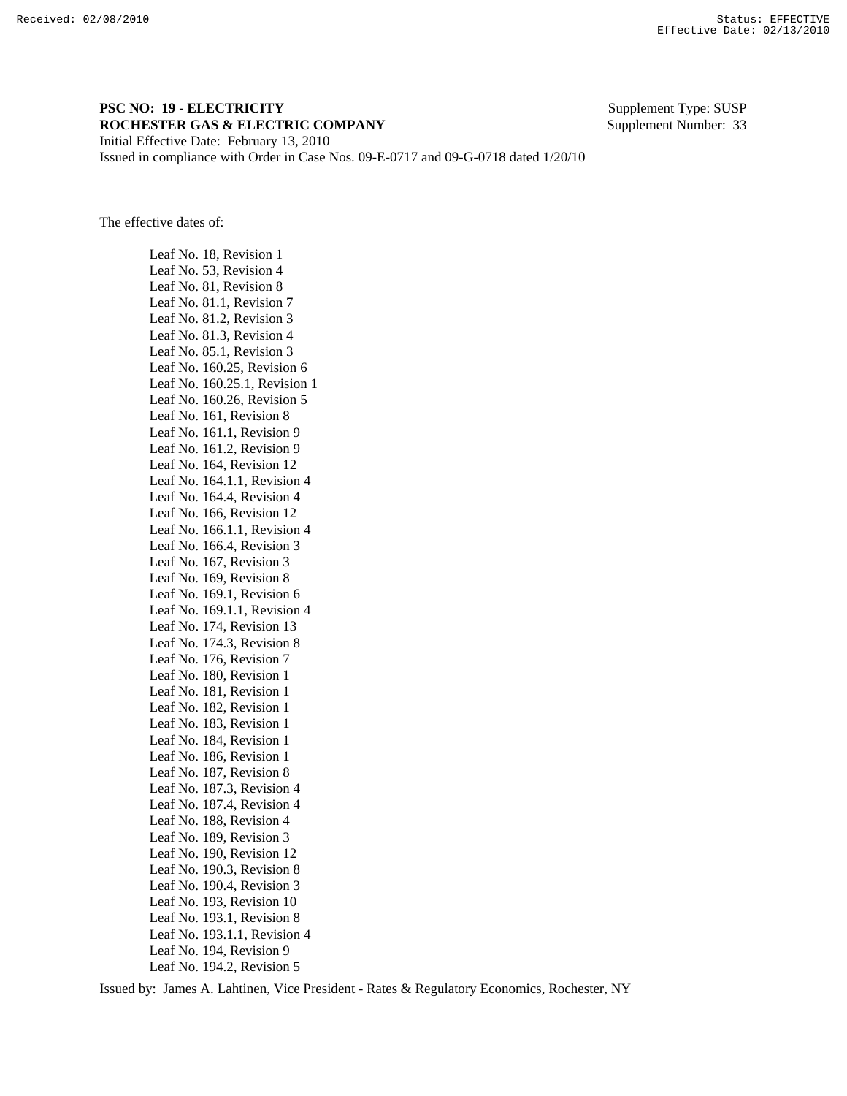## **PSC NO: 19 - ELECTRICITY** Supplement Type: SUSP **ROCHESTER GAS & ELECTRIC COMPANY** Supplement Number: 33 Initial Effective Date: February 13, 2010

Issued in compliance with Order in Case Nos. 09-E-0717 and 09-G-0718 dated 1/20/10

The effective dates of:

 Leaf No. 18, Revision 1 Leaf No. 53, Revision 4 Leaf No. 81, Revision 8 Leaf No. 81.1, Revision 7 Leaf No. 81.2, Revision 3 Leaf No. 81.3, Revision 4 Leaf No. 85.1, Revision 3 Leaf No. 160.25, Revision 6 Leaf No. 160.25.1, Revision 1 Leaf No. 160.26, Revision 5 Leaf No. 161, Revision 8 Leaf No. 161.1, Revision 9 Leaf No. 161.2, Revision 9 Leaf No. 164, Revision 12 Leaf No. 164.1.1, Revision 4 Leaf No. 164.4, Revision 4 Leaf No. 166, Revision 12 Leaf No. 166.1.1, Revision 4 Leaf No. 166.4, Revision 3 Leaf No. 167, Revision 3 Leaf No. 169, Revision 8 Leaf No. 169.1, Revision 6 Leaf No. 169.1.1, Revision 4 Leaf No. 174, Revision 13 Leaf No. 174.3, Revision 8 Leaf No. 176, Revision 7 Leaf No. 180, Revision 1 Leaf No. 181, Revision 1 Leaf No. 182, Revision 1 Leaf No. 183, Revision 1 Leaf No. 184, Revision 1 Leaf No. 186, Revision 1 Leaf No. 187, Revision 8 Leaf No. 187.3, Revision 4 Leaf No. 187.4, Revision 4 Leaf No. 188, Revision 4 Leaf No. 189, Revision 3 Leaf No. 190, Revision 12 Leaf No. 190.3, Revision 8 Leaf No. 190.4, Revision 3 Leaf No. 193, Revision 10 Leaf No. 193.1, Revision 8 Leaf No. 193.1.1, Revision 4 Leaf No. 194, Revision 9 Leaf No. 194.2, Revision 5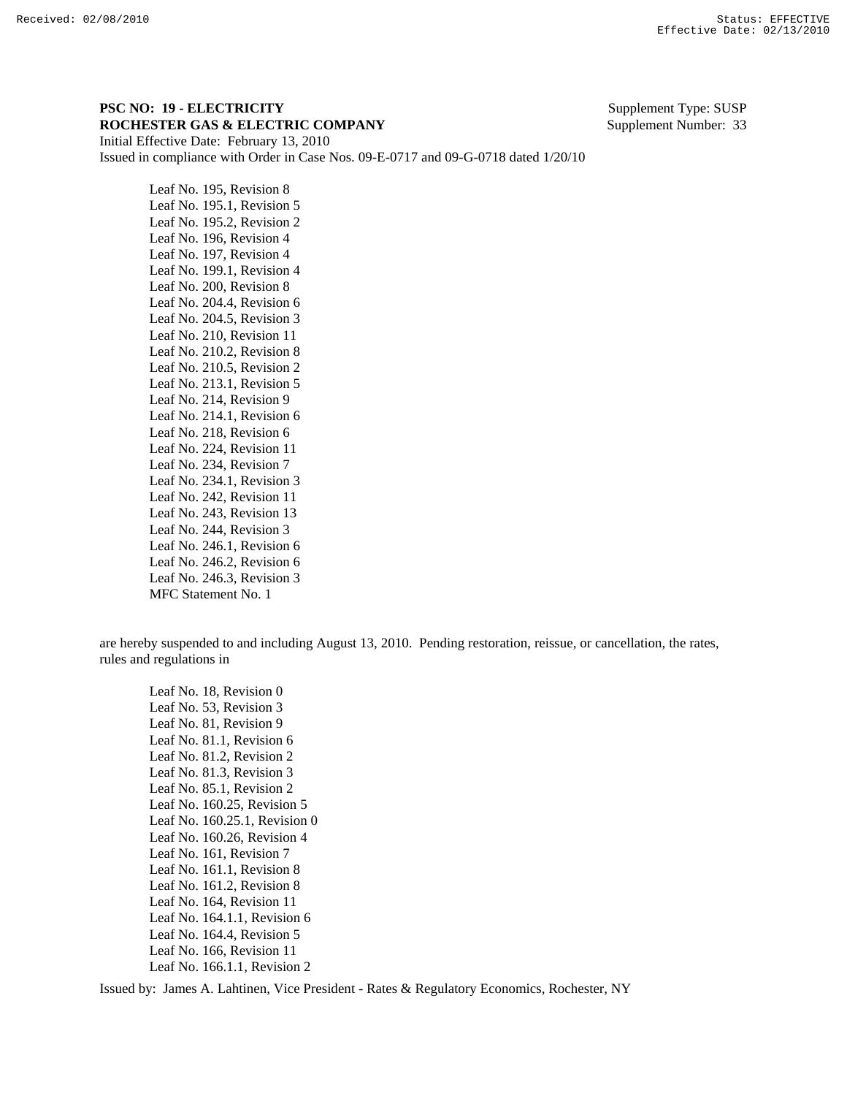## **PSC NO: 19 - ELECTRICITY** Supplement Type: SUSP **ROCHESTER GAS & ELECTRIC COMPANY** Supplement Number: 33 Initial Effective Date: February 13, 2010

Issued in compliance with Order in Case Nos. 09-E-0717 and 09-G-0718 dated 1/20/10

 Leaf No. 195, Revision 8 Leaf No. 195.1, Revision 5 Leaf No. 195.2, Revision 2 Leaf No. 196, Revision 4 Leaf No. 197, Revision 4 Leaf No. 199.1, Revision 4 Leaf No. 200, Revision 8 Leaf No. 204.4, Revision 6 Leaf No. 204.5, Revision 3 Leaf No. 210, Revision 11 Leaf No. 210.2, Revision 8 Leaf No. 210.5, Revision 2 Leaf No. 213.1, Revision 5 Leaf No. 214, Revision 9 Leaf No. 214.1, Revision 6 Leaf No. 218, Revision 6 Leaf No. 224, Revision 11 Leaf No. 234, Revision 7 Leaf No. 234.1, Revision 3 Leaf No. 242, Revision 11 Leaf No. 243, Revision 13 Leaf No. 244, Revision 3 Leaf No. 246.1, Revision 6 Leaf No. 246.2, Revision 6 Leaf No. 246.3, Revision 3 MFC Statement No. 1

are hereby suspended to and including August 13, 2010. Pending restoration, reissue, or cancellation, the rates, rules and regulations in

 Leaf No. 18, Revision 0 Leaf No. 53, Revision 3 Leaf No. 81, Revision 9 Leaf No. 81.1, Revision 6 Leaf No. 81.2, Revision 2 Leaf No. 81.3, Revision 3 Leaf No. 85.1, Revision 2 Leaf No. 160.25, Revision 5 Leaf No. 160.25.1, Revision 0 Leaf No. 160.26, Revision 4 Leaf No. 161, Revision 7 Leaf No. 161.1, Revision 8 Leaf No. 161.2, Revision 8 Leaf No. 164, Revision 11 Leaf No. 164.1.1, Revision 6 Leaf No. 164.4, Revision 5 Leaf No. 166, Revision 11 Leaf No. 166.1.1, Revision 2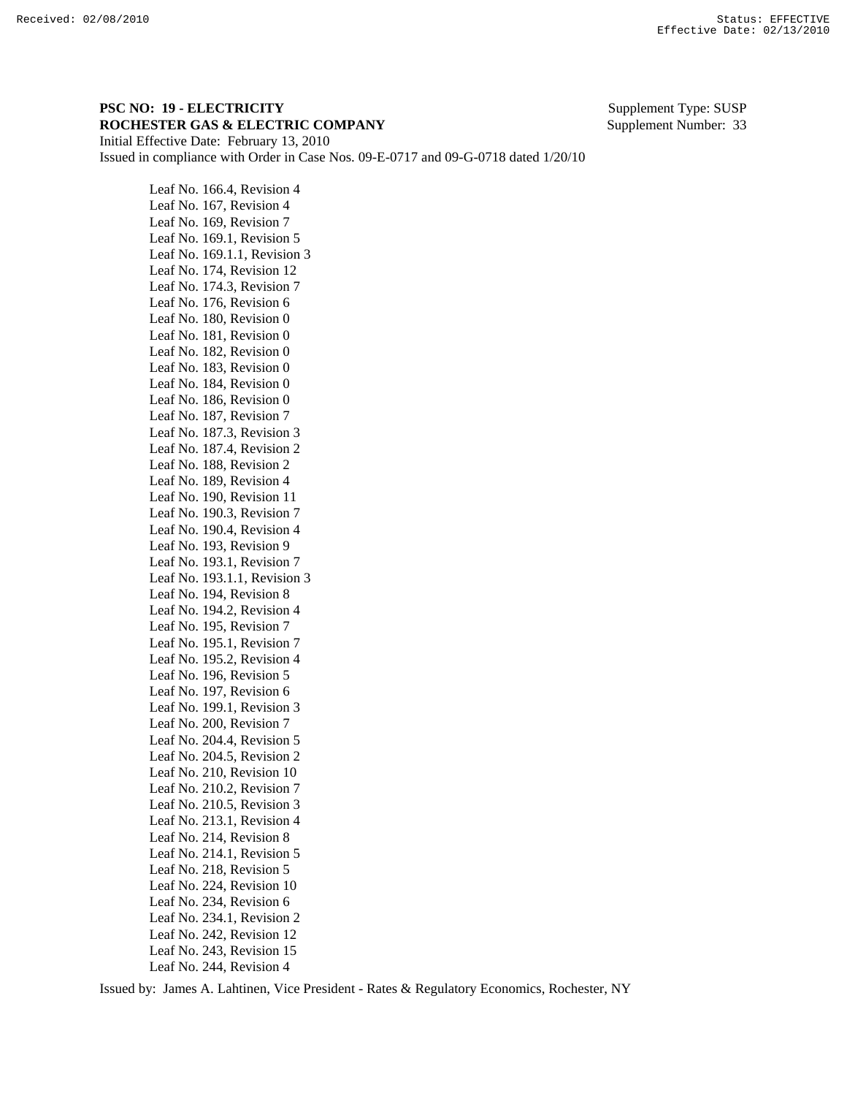## **PSC NO: 19 - ELECTRICITY** Supplement Type: SUSP **ROCHESTER GAS & ELECTRIC COMPANY** Supplement Number: 33 Initial Effective Date: February 13, 2010

 Leaf No. 166.4, Revision 4 Leaf No. 167, Revision 4 Leaf No. 169, Revision 7

Issued in compliance with Order in Case Nos. 09-E-0717 and 09-G-0718 dated 1/20/10

 Leaf No. 169.1, Revision 5 Leaf No. 169.1.1, Revision 3 Leaf No. 174, Revision 12 Leaf No. 174.3, Revision 7 Leaf No. 176, Revision 6 Leaf No. 180, Revision 0 Leaf No. 181, Revision 0 Leaf No. 182, Revision 0 Leaf No. 183, Revision 0 Leaf No. 184, Revision 0 Leaf No. 186, Revision 0 Leaf No. 187, Revision 7 Leaf No. 187.3, Revision 3 Leaf No. 187.4, Revision 2 Leaf No. 188, Revision 2 Leaf No. 189, Revision 4 Leaf No. 190, Revision 11 Leaf No. 190.3, Revision 7 Leaf No. 190.4, Revision 4 Leaf No. 193, Revision 9 Leaf No. 193.1, Revision 7 Leaf No. 193.1.1, Revision 3 Leaf No. 194, Revision 8 Leaf No. 194.2, Revision 4 Leaf No. 195, Revision 7 Leaf No. 195.1, Revision 7 Leaf No. 195.2, Revision 4 Leaf No. 196, Revision 5 Leaf No. 197, Revision 6 Leaf No. 199.1, Revision 3 Leaf No. 200, Revision 7 Leaf No. 204.4, Revision 5 Leaf No. 204.5, Revision 2 Leaf No. 210, Revision 10 Leaf No. 210.2, Revision 7 Leaf No. 210.5, Revision 3 Leaf No. 213.1, Revision 4 Leaf No. 214, Revision 8 Leaf No. 214.1, Revision 5 Leaf No. 218, Revision 5 Leaf No. 224, Revision 10 Leaf No. 234, Revision 6 Leaf No. 234.1, Revision 2 Leaf No. 242, Revision 12 Leaf No. 243, Revision 15

Leaf No. 244, Revision 4